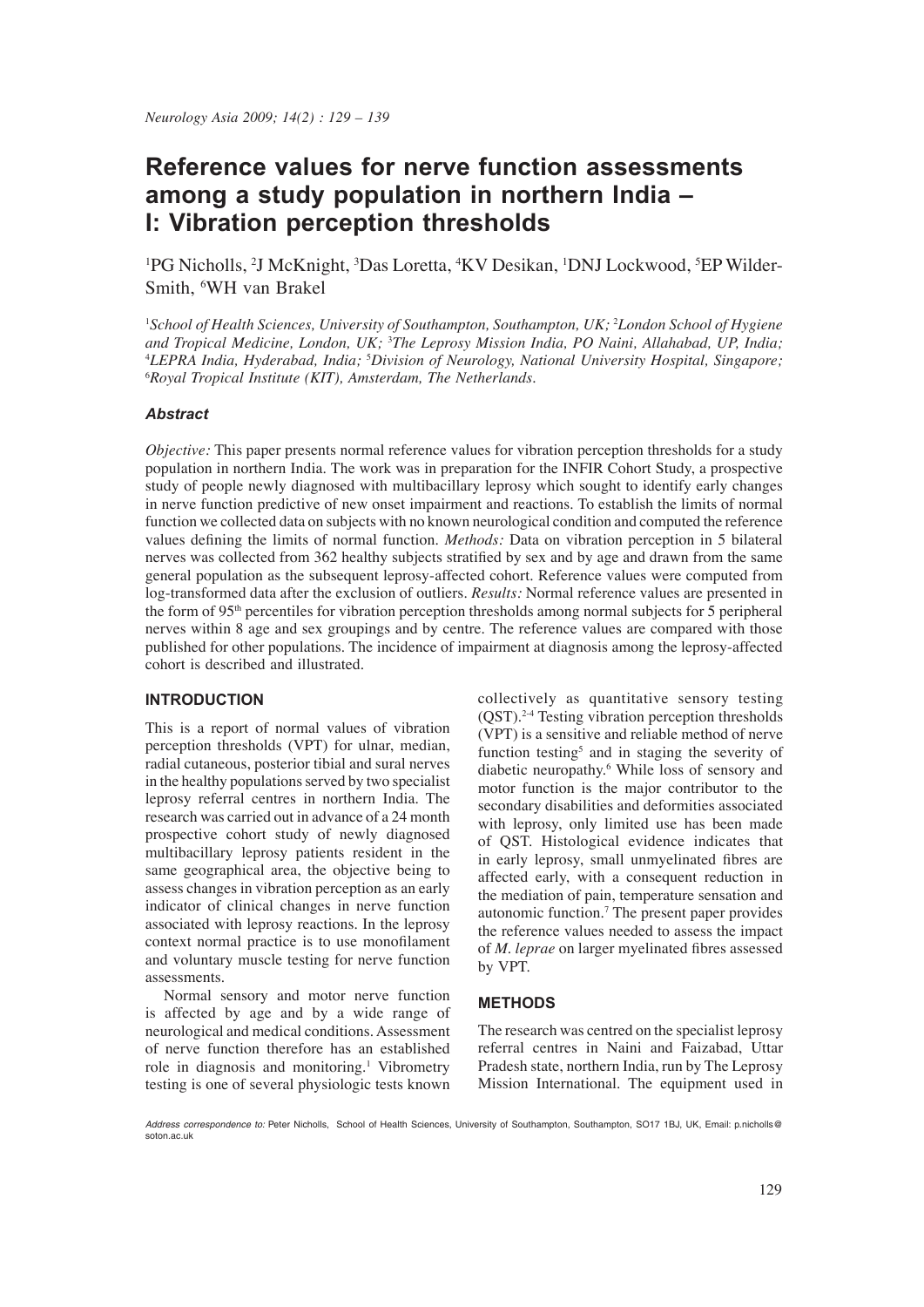# **Reference values for nerve function assessments among a study population in northern India – I: Vibration perception thresholds**

<sup>1</sup>PG Nicholls, <sup>2</sup>J McKnight, <sup>3</sup>Das Loretta, <sup>4</sup>KV Desikan, <sup>1</sup>DNJ Lockwood, <sup>5</sup>EP Wilder-Smith, 6 WH van Brakel

<sup>1</sup>School of Health Sciences, University of Southampton, Southampton, UK; <sup>2</sup>London School of Hygiene *and Tropical Medicine, London, UK;* <sup>3</sup> *The Leprosy Mission India, PO Naini, Allahabad, UP, India;* 4 *LEPRA India, Hyderabad, India;* <sup>5</sup> *Division of Neurology, National University Hospital, Singapore;* 6 *Royal Tropical Institute (KIT), Amsterdam, The Netherlands.*

#### *Abstract*

*Objective:* This paper presents normal reference values for vibration perception thresholds for a study population in northern India. The work was in preparation for the INFIR Cohort Study, a prospective study of people newly diagnosed with multibacillary leprosy which sought to identify early changes in nerve function predictive of new onset impairment and reactions. To establish the limits of normal function we collected data on subjects with no known neurological condition and computed the reference values defining the limits of normal function. *Methods:* Data on vibration perception in 5 bilateral nerves was collected from 362 healthy subjects stratified by sex and by age and drawn from the same general population as the subsequent leprosy-affected cohort. Reference values were computed from log-transformed data after the exclusion of outliers. *Results:* Normal reference values are presented in the form of 95th percentiles for vibration perception thresholds among normal subjects for 5 peripheral nerves within 8 age and sex groupings and by centre. The reference values are compared with those published for other populations. The incidence of impairment at diagnosis among the leprosy-affected cohort is described and illustrated.

#### **INTRODUCTION**

This is a report of normal values of vibration perception thresholds (VPT) for ulnar, median, radial cutaneous, posterior tibial and sural nerves in the healthy populations served by two specialist leprosy referral centres in northern India. The research was carried out in advance of a 24 month prospective cohort study of newly diagnosed multibacillary leprosy patients resident in the same geographical area, the objective being to assess changes in vibration perception as an early indicator of clinical changes in nerve function associated with leprosy reactions. In the leprosy context normal practice is to use monofilament and voluntary muscle testing for nerve function assessments.

 Normal sensory and motor nerve function is affected by age and by a wide range of neurological and medical conditions. Assessment of nerve function therefore has an established role in diagnosis and monitoring.<sup>1</sup> Vibrometry testing is one of several physiologic tests known

collectively as quantitative sensory testing (QST).2-4 Testing vibration perception thresholds (VPT) is a sensitive and reliable method of nerve function testing<sup>5</sup> and in staging the severity of diabetic neuropathy.6 While loss of sensory and motor function is the major contributor to the secondary disabilities and deformities associated with leprosy, only limited use has been made of QST. Histological evidence indicates that in early leprosy, small unmyelinated fibres are affected early, with a consequent reduction in the mediation of pain, temperature sensation and autonomic function.7 The present paper provides the reference values needed to assess the impact of *M. leprae* on larger myelinated fibres assessed by VPT.

### **METHODS**

The research was centred on the specialist leprosy referral centres in Naini and Faizabad, Uttar Pradesh state, northern India, run by The Leprosy Mission International. The equipment used in

*Address correspondence to:* Peter Nicholls, School of Health Sciences, University of Southampton, Southampton, SO17 1BJ, UK, Email: p.nicholls@ soton.ac.uk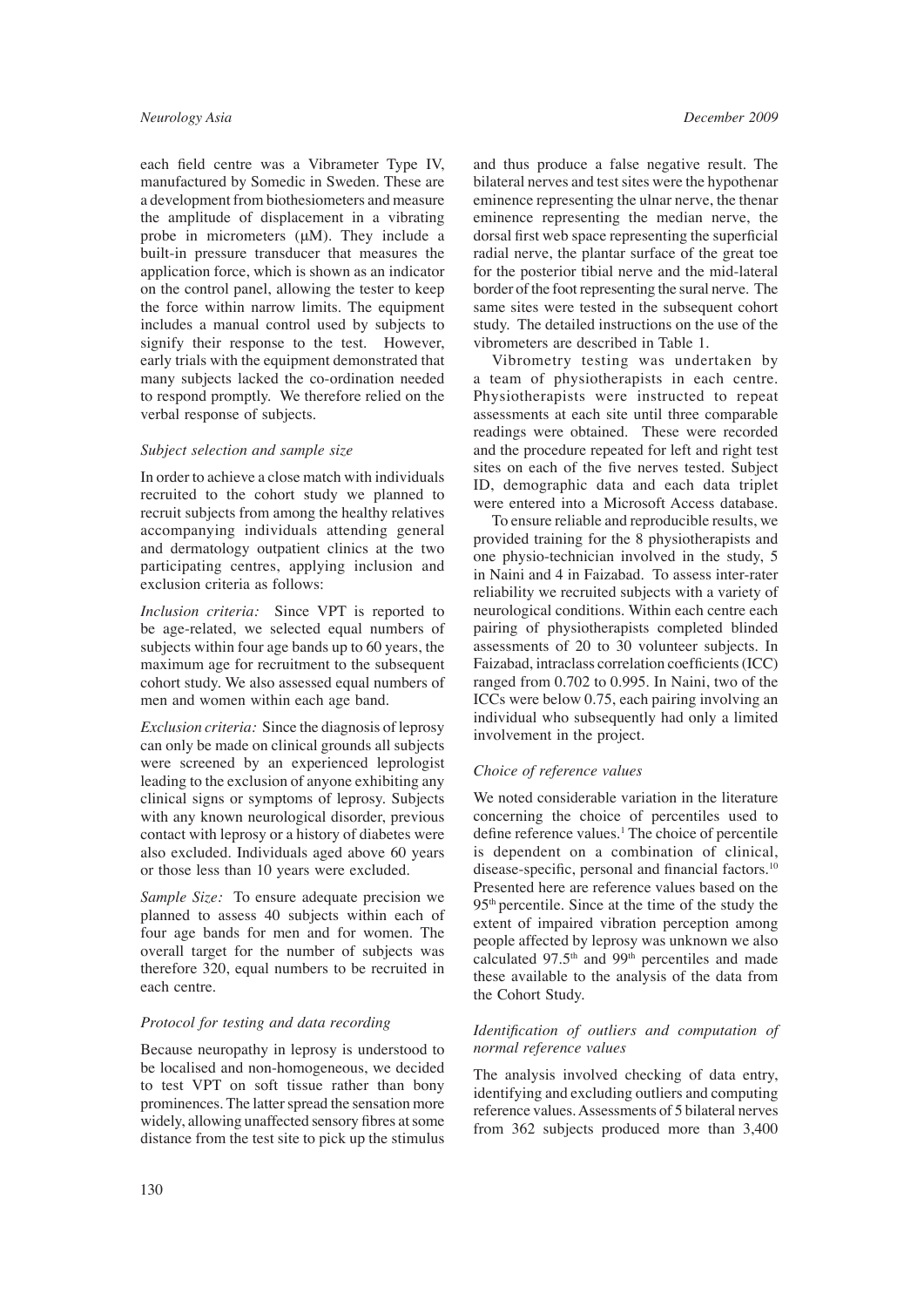each field centre was a Vibrameter Type IV, manufactured by Somedic in Sweden. These are a development from biothesiometers and measure the amplitude of displacement in a vibrating probe in micrometers (μM). They include a built-in pressure transducer that measures the application force, which is shown as an indicator on the control panel, allowing the tester to keep the force within narrow limits. The equipment includes a manual control used by subjects to signify their response to the test. However, early trials with the equipment demonstrated that many subjects lacked the co-ordination needed to respond promptly. We therefore relied on the verbal response of subjects.

#### *Subject selection and sample size*

In order to achieve a close match with individuals recruited to the cohort study we planned to recruit subjects from among the healthy relatives accompanying individuals attending general and dermatology outpatient clinics at the two participating centres, applying inclusion and exclusion criteria as follows:

*Inclusion criteria:* Since VPT is reported to be age-related, we selected equal numbers of subjects within four age bands up to 60 years, the maximum age for recruitment to the subsequent cohort study. We also assessed equal numbers of men and women within each age band.

*Exclusion criteria:* Since the diagnosis of leprosy can only be made on clinical grounds all subjects were screened by an experienced leprologist leading to the exclusion of anyone exhibiting any clinical signs or symptoms of leprosy. Subjects with any known neurological disorder, previous contact with leprosy or a history of diabetes were also excluded. Individuals aged above 60 years or those less than 10 years were excluded.

*Sample Size:* To ensure adequate precision we planned to assess 40 subjects within each of four age bands for men and for women. The overall target for the number of subjects was therefore 320, equal numbers to be recruited in each centre.

#### *Protocol for testing and data recording*

Because neuropathy in leprosy is understood to be localised and non-homogeneous, we decided to test VPT on soft tissue rather than bony prominences. The latter spread the sensation more widely, allowing unaffected sensory fibres at some distance from the test site to pick up the stimulus and thus produce a false negative result. The bilateral nerves and test sites were the hypothenar eminence representing the ulnar nerve, the thenar eminence representing the median nerve, the dorsal first web space representing the superficial radial nerve, the plantar surface of the great toe for the posterior tibial nerve and the mid-lateral border of the foot representing the sural nerve. The same sites were tested in the subsequent cohort study. The detailed instructions on the use of the vibrometers are described in Table 1.

 Vibrometry testing was undertaken by a team of physiotherapists in each centre. Physiotherapists were instructed to repeat assessments at each site until three comparable readings were obtained. These were recorded and the procedure repeated for left and right test sites on each of the five nerves tested. Subject ID, demographic data and each data triplet were entered into a Microsoft Access database.

 To ensure reliable and reproducible results, we provided training for the 8 physiotherapists and one physio-technician involved in the study, 5 in Naini and 4 in Faizabad. To assess inter-rater reliability we recruited subjects with a variety of neurological conditions. Within each centre each pairing of physiotherapists completed blinded assessments of 20 to 30 volunteer subjects. In Faizabad, intraclass correlation coefficients (ICC) ranged from 0.702 to 0.995. In Naini, two of the ICCs were below 0.75, each pairing involving an individual who subsequently had only a limited involvement in the project.

#### *Choice of reference values*

We noted considerable variation in the literature concerning the choice of percentiles used to define reference values.<sup>1</sup> The choice of percentile is dependent on a combination of clinical, disease-specific, personal and financial factors.<sup>10</sup> Presented here are reference values based on the 95th percentile. Since at the time of the study the extent of impaired vibration perception among people affected by leprosy was unknown we also calculated 97.5<sup>th</sup> and 99<sup>th</sup> percentiles and made these available to the analysis of the data from the Cohort Study.

#### Identification of outliers and computation of *normal reference values*

The analysis involved checking of data entry, identifying and excluding outliers and computing reference values. Assessments of 5 bilateral nerves from 362 subjects produced more than 3,400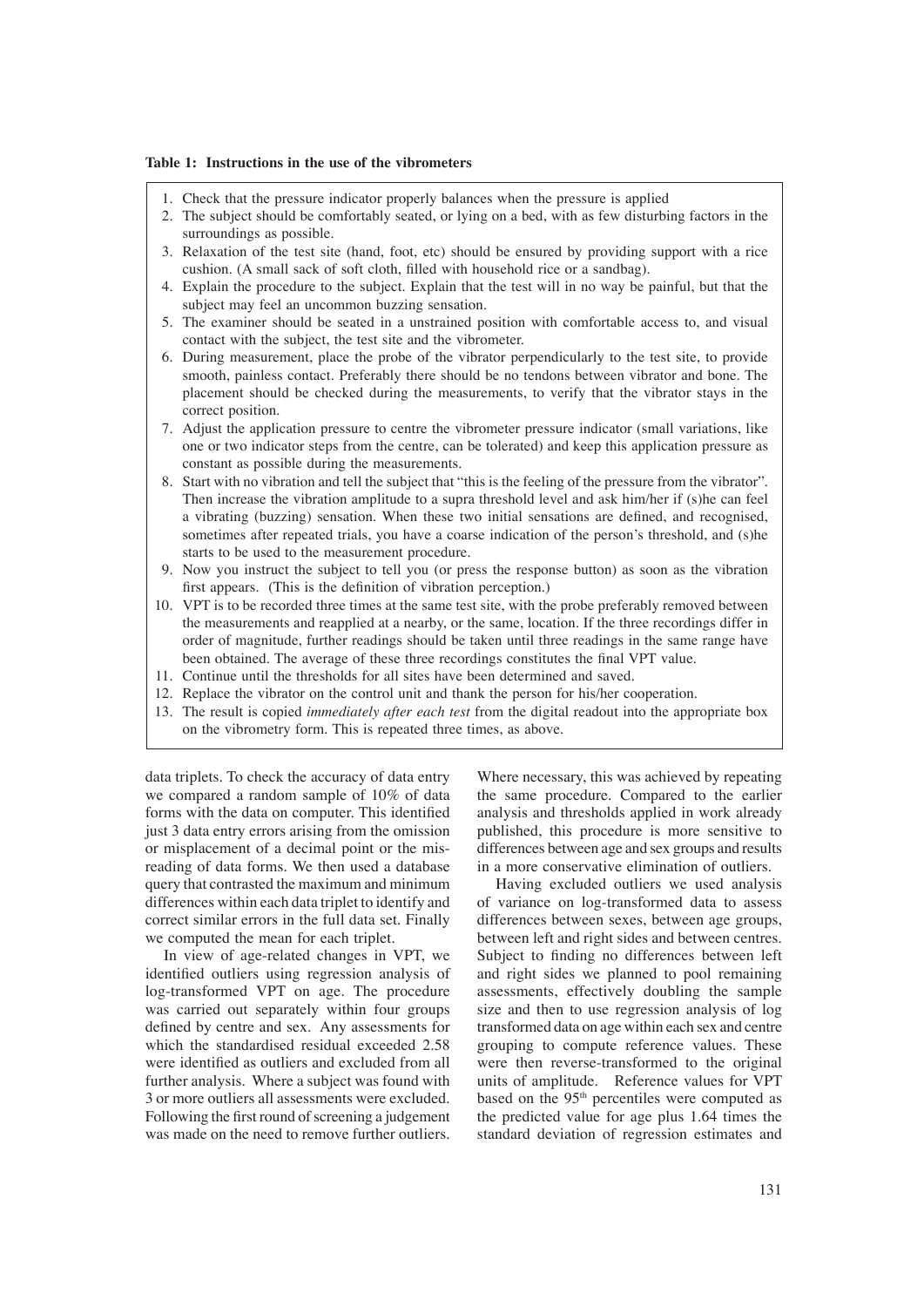#### **Table 1: Instructions in the use of the vibrometers**

- 1. Check that the pressure indicator properly balances when the pressure is applied
- 2. The subject should be comfortably seated, or lying on a bed, with as few disturbing factors in the surroundings as possible.
- 3. Relaxation of the test site (hand, foot, etc) should be ensured by providing support with a rice cushion. (A small sack of soft cloth, filled with household rice or a sandbag).
- 4. Explain the procedure to the subject. Explain that the test will in no way be painful, but that the subject may feel an uncommon buzzing sensation.
- 5. The examiner should be seated in a unstrained position with comfortable access to, and visual contact with the subject, the test site and the vibrometer.
- 6. During measurement, place the probe of the vibrator perpendicularly to the test site, to provide smooth, painless contact. Preferably there should be no tendons between vibrator and bone. The placement should be checked during the measurements, to verify that the vibrator stays in the correct position.
- 7. Adjust the application pressure to centre the vibrometer pressure indicator (small variations, like one or two indicator steps from the centre, can be tolerated) and keep this application pressure as constant as possible during the measurements.
- 8. Start with no vibration and tell the subject that "this is the feeling of the pressure from the vibrator". Then increase the vibration amplitude to a supra threshold level and ask him/her if (s)he can feel a vibrating (buzzing) sensation. When these two initial sensations are defined, and recognised, sometimes after repeated trials, you have a coarse indication of the person's threshold, and (s)he starts to be used to the measurement procedure.
- 9. Now you instruct the subject to tell you (or press the response button) as soon as the vibration first appears. (This is the definition of vibration perception.)
- 10. VPT is to be recorded three times at the same test site, with the probe preferably removed between the measurements and reapplied at a nearby, or the same, location. If the three recordings differ in order of magnitude, further readings should be taken until three readings in the same range have been obtained. The average of these three recordings constitutes the final VPT value.
- 11. Continue until the thresholds for all sites have been determined and saved.
- 12. Replace the vibrator on the control unit and thank the person for his/her cooperation.
- 13. The result is copied *immediately after each test* from the digital readout into the appropriate box on the vibrometry form. This is repeated three times, as above.

data triplets. To check the accuracy of data entry we compared a random sample of 10% of data forms with the data on computer. This identified just 3 data entry errors arising from the omission or misplacement of a decimal point or the misreading of data forms. We then used a database query that contrasted the maximum and minimum differences within each data triplet to identify and correct similar errors in the full data set. Finally we computed the mean for each triplet.

 In view of age-related changes in VPT, we identified outliers using regression analysis of log-transformed VPT on age. The procedure was carried out separately within four groups defined by centre and sex. Any assessments for which the standardised residual exceeded 2.58 were identified as outliers and excluded from all further analysis. Where a subject was found with 3 or more outliers all assessments were excluded. Following the first round of screening a judgement was made on the need to remove further outliers. Where necessary, this was achieved by repeating the same procedure. Compared to the earlier analysis and thresholds applied in work already published, this procedure is more sensitive to differences between age and sex groups and results in a more conservative elimination of outliers.

 Having excluded outliers we used analysis of variance on log-transformed data to assess differences between sexes, between age groups, between left and right sides and between centres. Subject to finding no differences between left and right sides we planned to pool remaining assessments, effectively doubling the sample size and then to use regression analysis of log transformed data on age within each sex and centre grouping to compute reference values. These were then reverse-transformed to the original units of amplitude. Reference values for VPT based on the 95<sup>th</sup> percentiles were computed as the predicted value for age plus 1.64 times the standard deviation of regression estimates and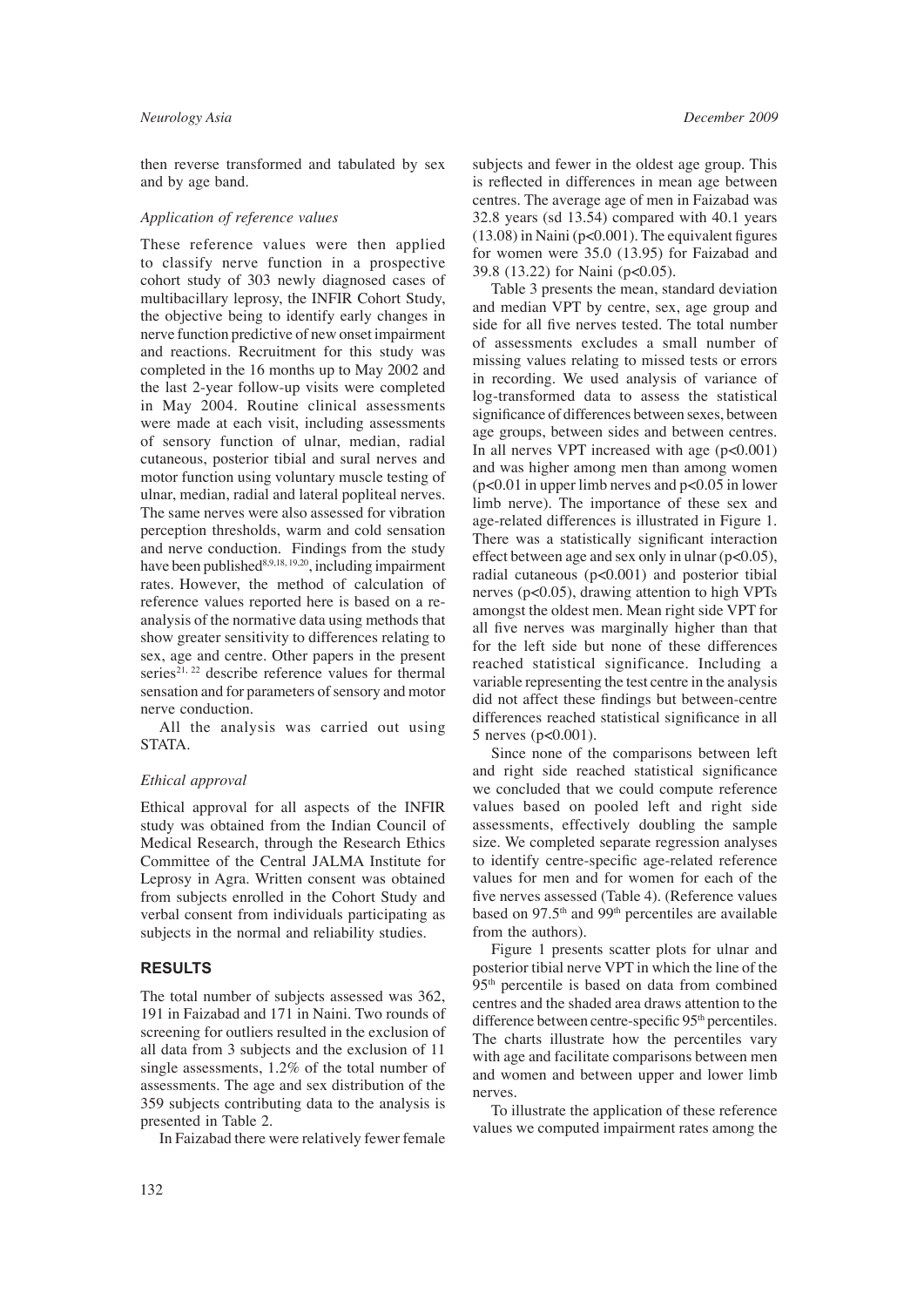then reverse transformed and tabulated by sex and by age band.

#### *Application of reference values*

These reference values were then applied to classify nerve function in a prospective cohort study of 303 newly diagnosed cases of multibacillary leprosy, the INFIR Cohort Study, the objective being to identify early changes in nerve function predictive of new onset impairment and reactions. Recruitment for this study was completed in the 16 months up to May 2002 and the last 2-year follow-up visits were completed in May 2004. Routine clinical assessments were made at each visit, including assessments of sensory function of ulnar, median, radial cutaneous, posterior tibial and sural nerves and motor function using voluntary muscle testing of ulnar, median, radial and lateral popliteal nerves. The same nerves were also assessed for vibration perception thresholds, warm and cold sensation and nerve conduction. Findings from the study have been published<sup>8,9,18, 19,20</sup>, including impairment rates. However, the method of calculation of reference values reported here is based on a reanalysis of the normative data using methods that show greater sensitivity to differences relating to sex, age and centre. Other papers in the present series<sup>21, 22</sup> describe reference values for thermal sensation and for parameters of sensory and motor nerve conduction.

 All the analysis was carried out using STATA.

#### *Ethical approval*

Ethical approval for all aspects of the INFIR study was obtained from the Indian Council of Medical Research, through the Research Ethics Committee of the Central JALMA Institute for Leprosy in Agra. Written consent was obtained from subjects enrolled in the Cohort Study and verbal consent from individuals participating as subjects in the normal and reliability studies.

#### **RESULTS**

The total number of subjects assessed was 362, 191 in Faizabad and 171 in Naini. Two rounds of screening for outliers resulted in the exclusion of all data from 3 subjects and the exclusion of 11 single assessments, 1.2% of the total number of assessments. The age and sex distribution of the 359 subjects contributing data to the analysis is presented in Table 2.

In Faizabad there were relatively fewer female

subjects and fewer in the oldest age group. This is reflected in differences in mean age between centres. The average age of men in Faizabad was 32.8 years (sd 13.54) compared with 40.1 years  $(13.08)$  in Naini (p<0.001). The equivalent figures for women were 35.0 (13.95) for Faizabad and 39.8 (13.22) for Naini (p<0.05).

 Table 3 presents the mean, standard deviation and median VPT by centre, sex, age group and side for all five nerves tested. The total number of assessments excludes a small number of missing values relating to missed tests or errors in recording. We used analysis of variance of log-transformed data to assess the statistical significance of differences between sexes, between age groups, between sides and between centres. In all nerves VPT increased with age  $(p<0.001)$ and was higher among men than among women  $(p<0.01$  in upper limb nerves and  $p<0.05$  in lower limb nerve). The importance of these sex and age-related differences is illustrated in Figure 1. There was a statistically significant interaction effect between age and sex only in ulnar  $(p<0.05)$ , radial cutaneous (p<0.001) and posterior tibial nerves (p<0.05), drawing attention to high VPTs amongst the oldest men. Mean right side VPT for all five nerves was marginally higher than that for the left side but none of these differences reached statistical significance. Including a variable representing the test centre in the analysis did not affect these findings but between-centre differences reached statistical significance in all 5 nerves (p<0.001).

 Since none of the comparisons between left and right side reached statistical significance we concluded that we could compute reference values based on pooled left and right side assessments, effectively doubling the sample size. We completed separate regression analyses to identify centre-specific age-related reference values for men and for women for each of the five nerves assessed (Table 4). (Reference values based on 97.5<sup>th</sup> and 99<sup>th</sup> percentiles are available from the authors).

 Figure 1 presents scatter plots for ulnar and posterior tibial nerve VPT in which the line of the 95th percentile is based on data from combined centres and the shaded area draws attention to the difference between centre-specific 95<sup>th</sup> percentiles. The charts illustrate how the percentiles vary with age and facilitate comparisons between men and women and between upper and lower limb nerves.

 To illustrate the application of these reference values we computed impairment rates among the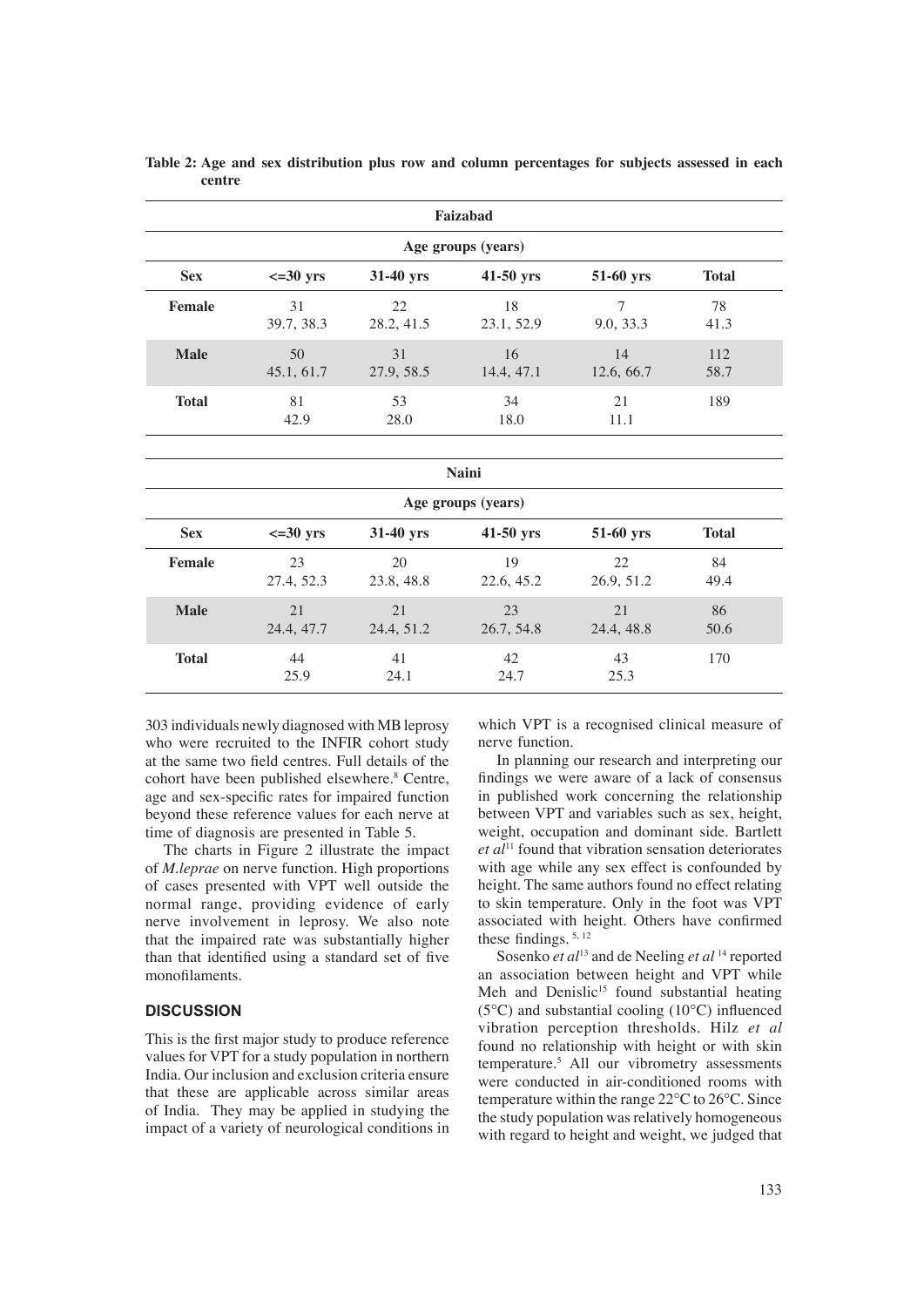|               | Faizabad            |                   |                    |                             |              |  |  |  |  |  |  |
|---------------|---------------------|-------------------|--------------------|-----------------------------|--------------|--|--|--|--|--|--|
|               | Age groups (years)  |                   |                    |                             |              |  |  |  |  |  |  |
| <b>Sex</b>    | $\epsilon = 30$ yrs | 31-40 yrs         | 41-50 yrs          | 51-60 yrs                   | <b>Total</b> |  |  |  |  |  |  |
| <b>Female</b> | 31<br>39.7, 38.3    | 22<br>28.2, 41.5  | 18<br>23.1, 52.9   | $\overline{7}$<br>9.0, 33.3 | 78<br>41.3   |  |  |  |  |  |  |
| <b>Male</b>   | 50<br>45.1, 61.7    | 31<br>27.9, 58.5  | 16<br>14.4, 47.1   | 14<br>12.6, 66.7            | 112<br>58.7  |  |  |  |  |  |  |
| <b>Total</b>  | 81<br>42.9          | 53<br>28.0        | 34<br>18.0         | 21<br>11.1                  | 189          |  |  |  |  |  |  |
|               |                     |                   |                    |                             |              |  |  |  |  |  |  |
|               |                     |                   | <b>Naini</b>       |                             |              |  |  |  |  |  |  |
|               |                     |                   | Age groups (years) |                             |              |  |  |  |  |  |  |
| <b>Sex</b>    | $\epsilon = 30$ yrs | 31-40 yrs         | 41-50 yrs          | 51-60 yrs                   | <b>Total</b> |  |  |  |  |  |  |
| <b>Female</b> | 23<br>27.4, 52.3    | 20<br>23.8, 48.8  | 19<br>22.6, 45.2   | 22.<br>26.9, 51.2           | 84<br>49.4   |  |  |  |  |  |  |
| <b>Male</b>   | 21<br>24.4, 47.7    | 2.1<br>24.4, 51.2 | 23<br>26.7, 54.8   | 21<br>24.4, 48.8            | 86<br>50.6   |  |  |  |  |  |  |
| <b>Total</b>  | 44<br>25.9          | 41<br>24.1        | 42<br>24.7         | 43<br>25.3                  | 170          |  |  |  |  |  |  |

**Table 2: Age and sex distribution plus row and column percentages for subjects assessed in each centre**

303 individuals newly diagnosed with MB leprosy who were recruited to the INFIR cohort study at the same two field centres. Full details of the cohort have been published elsewhere.<sup>8</sup> Centre, age and sex-specific rates for impaired function beyond these reference values for each nerve at time of diagnosis are presented in Table 5.

 The charts in Figure 2 illustrate the impact of *M.leprae* on nerve function. High proportions of cases presented with VPT well outside the normal range, providing evidence of early nerve involvement in leprosy. We also note that the impaired rate was substantially higher than that identified using a standard set of five monofilaments.

#### **DISCUSSION**

This is the first major study to produce reference values for VPT for a study population in northern India. Our inclusion and exclusion criteria ensure that these are applicable across similar areas of India. They may be applied in studying the impact of a variety of neurological conditions in which VPT is a recognised clinical measure of nerve function.

 In planning our research and interpreting our findings we were aware of a lack of consensus in published work concerning the relationship between VPT and variables such as sex, height, weight, occupation and dominant side. Bartlett *et al*11 found that vibration sensation deteriorates with age while any sex effect is confounded by height. The same authors found no effect relating to skin temperature. Only in the foot was VPT associated with height. Others have confirmed these findings.  $5, 12$ 

 Sosenko *et al*13 and de Neeling *et al* 14 reported an association between height and VPT while Meh and Denislic<sup>15</sup> found substantial heating ( $5^{\circ}$ C) and substantial cooling ( $10^{\circ}$ C) influenced vibration perception thresholds. Hilz *et al* found no relationship with height or with skin temperature.5 All our vibrometry assessments were conducted in air-conditioned rooms with temperature within the range 22°C to 26°C. Since the study population was relatively homogeneous with regard to height and weight, we judged that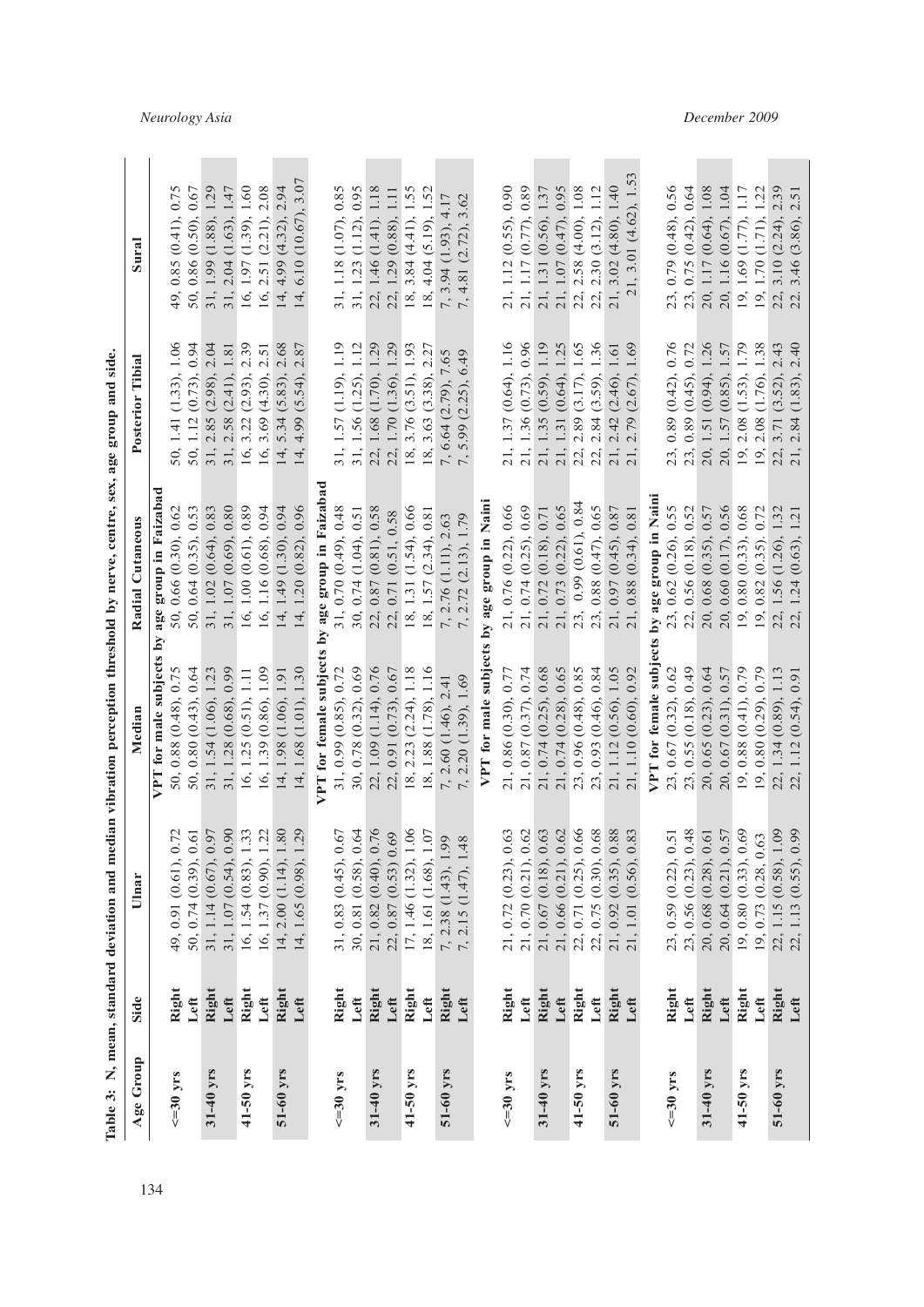| j                |
|------------------|
|                  |
| č                |
|                  |
|                  |
|                  |
| ļ                |
| į                |
|                  |
| I                |
| i                |
| Ē                |
| $\frac{1}{2}$    |
| -<br>-<br>-<br>- |
|                  |
| $\frac{1}{2}$    |
|                  |
|                  |
| i<br>l           |
|                  |
|                  |
|                  |
|                  |
| ׇ֘֒              |
|                  |
| i                |
| n m              |
|                  |
| $\frac{1}{1}$    |
|                  |
| rable<br>Ì       |
| F                |

| Age Group      | Side  | Ulnar                                  | Mediar                                         | Radial Cutaneous                               | Posterior Tibial                                                                                          | Sural                                          |
|----------------|-------|----------------------------------------|------------------------------------------------|------------------------------------------------|-----------------------------------------------------------------------------------------------------------|------------------------------------------------|
|                |       |                                        | VPT for male subjects by                       | age group in Faizabad                          |                                                                                                           |                                                |
| $\leq$ =30 yrs | Right | 49, 0.91 (0.61), 0.72                  | 50, 0.88 (0.48), 0.75                          | 50, 0.66 (0.30), 0.62                          | 50, 1.41 (1.33), 1.06                                                                                     | 0.85(0.41), 0.75<br>49,                        |
|                | Left  | 50, 0.74 (0.39), 0.61                  | 50, 0.80 $(0.43)$ , 0.64                       | 50, 0.64 (0.35), 0.53                          |                                                                                                           | 50, 0.86 (0.50), 0.67                          |
| 31-40 yrs      | Right | 31, 1.14 (0.67), 0                     | 31, 1.54 (1.06), 1.23                          | 31, 1.02 (0.64), 0.83                          |                                                                                                           | 31, 1.99 (1.88), 1.29                          |
|                | Left  | $3,30$<br>$5,33$<br>31, 1.07 (0.54), 0 | 31, 1.28 (0.68), 0.99                          | 31, 1.07 (0.69), 0.80                          | $\begin{array}{c} 50, 1.12\ (0.73), 0.94 \\ 31, 2.85\ (2.98), 2.04 \\ 31, 2.58\ (2.41), 1.81 \end{array}$ | 31, 2.04 (1.63), 1.47                          |
| 41-50 yrs      | Right | 16, 1.54 (0.83), 1                     | 16, 1.25 (0.51), 1.11                          | 16, 1.00 (0.61), 0.89                          | 16, 3.22 (2.93), 2.39                                                                                     | 16, 1.97 (1.39), 1.60                          |
|                | Left  | $\ddot{5}$<br>16, 1.37 (0.90), 1       | 16, 1.39 (0.86), 1.09                          | 16, 1.16 (0.68), 0.94                          | 16, 3.69 $(4.30)$ , 2.51                                                                                  | 16, 2.51 (2.21), 2.08                          |
| 51-60 yrs      | Right | 80<br>14, 2.00 (1.14), 1               | 14, 1.98 (1.06), 1.91                          | 14, 1.49 (1.30), 0.94                          | 14, 5.34 (5.83), 2.68                                                                                     | 14, 4.99 (4.32), 2.94                          |
|                | Left  | 29<br>14, 1.65 (0.98), 1               | 14, 1.68 (1.01), 1.30                          | 14, 1.20 (0.82), 0.96                          | 14, 4.99 (5.54), 2.87                                                                                     | 14, 6.10 $(10.67)$ , 3.07                      |
|                |       |                                        | VPT for female subjects                        | by age group in Faizabad                       |                                                                                                           |                                                |
| $\leq$ =30 yrs | Right | 31, 0.83 (0.45), 0.67                  | 31, 0.99 (0.85), 0.72                          | 31, 0.70 (0.49), 0.48                          |                                                                                                           |                                                |
|                | Left  | 30, 0.81 (0.58), 0.64                  | 30, 0.78 (0.32), 0.69                          | 30, 0.74 (1.04), 0.51                          | 31, 1.57 (1.19), 1.19<br>31, 1.56 (1.25), 1.12                                                            | 31, 1.18 (1.07), 0.85<br>31, 1.23 (1.12), 0.95 |
| 31-40 yrs      | Right | 21, 0.82 (0.40), 0.76                  | 22, 1.09 (1.14), 0.76                          | 22, 0.87 (0.81), 0.58                          | 22, 1.68 (1.70), 1.29                                                                                     | 22, 1.46 (1.41). 1.18                          |
|                | Left  | 69<br>$22, 0.87$ $(0.53)$ 0.           | 22, 0.91 (0.73), 0.67                          | 22, 0.71 (0.51, 0.58                           | 22, 1.70 (1.36), 1.29                                                                                     | 22, 1.29 (0.88), 1.11                          |
| 41-50 yrs      | Right | $\frac{6}{10}$<br>17, 1.46 (1.32), 1   | 18, 2.23 (2.24), 1.18                          | 18, 1.31 (1.54), 0.66                          | 18, 3.76 (3.51), 1.93                                                                                     | 18, 3.84 $(4.41)$ , 1.55                       |
|                | Left  | $1.07\,$<br>18, 1.61 (1.68),           | 18, 1.88 (1.78), 1.16                          | 18, 1.57 (2.34), 0.81                          | 18, 3.63 (3.38), 2.27                                                                                     | 18, 4.04 (5.19), 1.52                          |
| 51-60 yrs      | Right | 7, 2.38 (1.43), 1.99                   | 7, 2.60 (1.46), 2.41                           | 7, 2.76 (1.11), 2.63                           |                                                                                                           | 7, 3.94 (1.93), 4.17                           |
|                | Left  | 7, 2.15 (1.47), 1.48                   | 7, 2.20 (1.39), 1.69                           | 7, 2.72 (2.13), 1.79                           | 7, 6.64 (2.79), 7.65<br>7, 5.99 (2.25), 6.49                                                              | 7, 4.81 (2.72), 3.62                           |
|                |       |                                        | VPT for male subjects                          | by age group in Naini                          |                                                                                                           |                                                |
| $\leq$ =30 yrs | Right | .63<br>21, 0.72 (0.23), 0              |                                                |                                                | 21, 1.37 (0.64), 1.16                                                                                     | 21, 1.12 (0.55), 0.90                          |
|                | Left  | .62<br>21, 0.70 (0.21), 0              | 21, 0.86 (0.30), 0.77<br>21, 0.87 (0.37), 0.74 | 21, 0.76 (0.22), 0.66<br>21, 0.74 (0.25), 0.69 | 21, 1.36 (0.73), 0.96<br>21, 1.35 (0.59), 1.19<br>21, 1.31 (0.64), 1.25                                   | 21, 1.17 (0.77), 0.89                          |
| 31-40 yrs      | Right | .63<br>21, 0.67 (0.18), 0              | 21, 0.74 (0.25), 0.68                          | 21, 0.72 (0.18), 0.71                          |                                                                                                           | 21, 1.31 (0.56), 1.37                          |
|                | Left  | .62<br>21, 0.66 (0.21), 0              | 21, 0.74 (0.28), 0.65                          | 21, 0.73 (0.22), 0.65                          |                                                                                                           | 21, 1.07 (0.47), 0.95                          |
| 41-50 yrs      | Right | .66<br>22, 0.71 (0.25), 0              | 23, 0.96 (0.48), 0.85                          | 23, 0.99 (0.61), 0.84                          | 2.89 (3.17), 1.65<br>22,                                                                                  | 22, 2.58 (4.00), 1.08                          |
|                | Left  | .68<br>22, 0.75 (0.30), 0              | 23, 0.93 (0.46), 0.84                          | 0.88 (0.47), 0.65<br>23,                       | 2.84 (3.59), 1.36<br>22,                                                                                  | 22, 2.30 (3.12), 1.12                          |
| 51-60 yrs      | Right | 88<br>21, 0.92 (0.35), 0               | 21, 1.12 (0.56), 1.05                          | 21, 0.97 (0.45), 0.87                          | 2.42 (2.46), 1.61<br>21,                                                                                  | 21, 3.02 (4.80), 1.40                          |
|                | Left  | 83<br>$(0.56)$ , 0<br>21, 1.01         | 21, 1.10 (0.60), 0.92                          | 0.88(0.34), 0.81                               | (2.67), 1.69<br>2.79<br>21,                                                                               | 21, 3.01 (4.62), 1.53                          |
|                |       |                                        | VPT for female subjects                        | by age group in Naini                          |                                                                                                           |                                                |
| $\leq$ =30 yrs | Right | $\overline{51}$<br>23, 0.59 (0.22), 0  | 23, 0.67 (0.32), 0.62                          | 23, 0.62 (0.26), 0.55                          | 23, 0.89 (0.42), 0.76                                                                                     | 23, 0.79 (0.48), 0.56                          |
|                | Left  | 23, 0.56 (0.23), 0.48                  | 23, 0.55 (0.18), 0.49                          | 22, 0.56 (0.18), 0.52                          | 23, 0.89 (0.45), 0.72<br>20, 1.51 (0.94), 1.26                                                            | 23, 0.75 (0.42), 0.64                          |
| 31-40 yrs      | Right | 20, 0.68 (0.28), 0.61                  | 20, 0.65 (0.23), 0.64                          | 20, 0.68 (0.35), 0.57                          |                                                                                                           | 20, 1.17 (0.64), 1.08                          |
|                | Left  | $20, 0.64$ $(0.21), 0.57$              | 20, 0.67 (0.31), 0.57                          | 20, 0.60 (0.17), 0.56                          | 20, 1.57 (0.85), 1.57                                                                                     | 20, 1.16 (0.67), 1.04                          |
| 41-50 yrs      | Right | 19, 0.80 (0.33), 0.69                  | 19, 0.88(0.41), 0.79                           | 19, 0.80 (0.33), 0.68                          | 19, 2.08 (1.53), 1.79                                                                                     | 19, 1.69 (1.77), 1.17                          |
|                | Left  | 63<br>19, 0.73 (0.28, 0.               | 19, 0.80 (0.29), 0.79                          | 19, 0.82 (0.35). 0.72                          | 2.08 (1.76), 1.38<br>19,                                                                                  | 19, 1.70 (1.71), 1.22                          |
| 51-60 yrs      | Right | 22, 1.15 (0.58), 1.09                  | 22, 1.34 (0.89), 1.13                          | 22, 1.56 (1.26), 1.32                          | 3.71 (3.52), 2.43<br>22,                                                                                  | 3.10(2.24), 2.39<br>22,                        |
|                | Left  | (0.55), 0.99<br>22, 1.13               | 0.91<br>$1.12(0.54)$ ,<br>22,                  | $(0.63)$ , 1.21<br>22, 1.24                    | 2.40<br>(1.83),<br>2.84<br>21,                                                                            | 2.51<br>3.46 (3.86),                           |

## *Neurology Asia December 2009*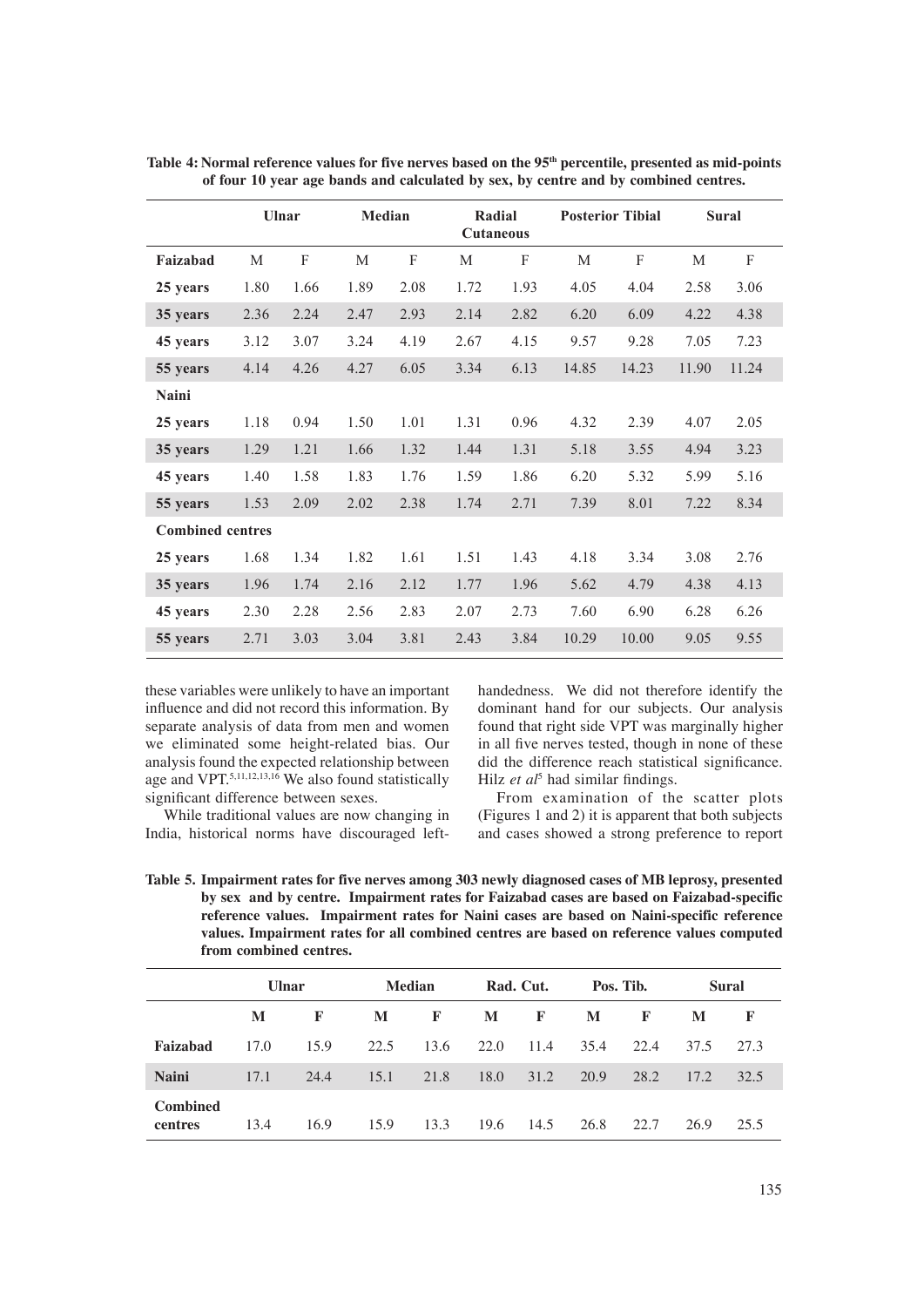|                         | Ulnar |      | <b>Median</b> |      |      | Radial<br><b>Cutaneous</b> |       | <b>Posterior Tibial</b> |       | <b>Sural</b> |
|-------------------------|-------|------|---------------|------|------|----------------------------|-------|-------------------------|-------|--------------|
| Faizabad                | М     | F    | М             | F    | M    | F                          | M     | F                       | M     | F            |
| 25 years                | 1.80  | 1.66 | 1.89          | 2.08 | 1.72 | 1.93                       | 4.05  | 4.04                    | 2.58  | 3.06         |
| 35 years                | 2.36  | 2.24 | 2.47          | 2.93 | 2.14 | 2.82                       | 6.20  | 6.09                    | 4.22  | 4.38         |
| 45 years                | 3.12  | 3.07 | 3.24          | 4.19 | 2.67 | 4.15                       | 9.57  | 9.28                    | 7.05  | 7.23         |
| 55 years                | 4.14  | 4.26 | 4.27          | 6.05 | 3.34 | 6.13                       | 14.85 | 14.23                   | 11.90 | 11.24        |
| Naini                   |       |      |               |      |      |                            |       |                         |       |              |
| 25 years                | 1.18  | 0.94 | 1.50          | 1.01 | 1.31 | 0.96                       | 4.32  | 2.39                    | 4.07  | 2.05         |
| 35 years                | 1.29  | 1.21 | 1.66          | 1.32 | 1.44 | 1.31                       | 5.18  | 3.55                    | 4.94  | 3.23         |
| 45 years                | 1.40  | 1.58 | 1.83          | 1.76 | 1.59 | 1.86                       | 6.20  | 5.32                    | 5.99  | 5.16         |
| 55 years                | 1.53  | 2.09 | 2.02          | 2.38 | 1.74 | 2.71                       | 7.39  | 8.01                    | 7.22  | 8.34         |
| <b>Combined centres</b> |       |      |               |      |      |                            |       |                         |       |              |
| 25 years                | 1.68  | 1.34 | 1.82          | 1.61 | 1.51 | 1.43                       | 4.18  | 3.34                    | 3.08  | 2.76         |
| 35 years                | 1.96  | 1.74 | 2.16          | 2.12 | 1.77 | 1.96                       | 5.62  | 4.79                    | 4.38  | 4.13         |
| 45 years                | 2.30  | 2.28 | 2.56          | 2.83 | 2.07 | 2.73                       | 7.60  | 6.90                    | 6.28  | 6.26         |
| 55 years                | 2.71  | 3.03 | 3.04          | 3.81 | 2.43 | 3.84                       | 10.29 | 10.00                   | 9.05  | 9.55         |

Table 4: Normal reference values for five nerves based on the 95<sup>th</sup> percentile, presented as mid-points **of four 10 year age bands and calculated by sex, by centre and by combined centres.** 

these variables were unlikely to have an important influence and did not record this information. By separate analysis of data from men and women we eliminated some height-related bias. Our analysis found the expected relationship between age and VPT.5,11,12,13,16 We also found statistically significant difference between sexes.

 While traditional values are now changing in India, historical norms have discouraged lefthandedness. We did not therefore identify the dominant hand for our subjects. Our analysis found that right side VPT was marginally higher in all five nerves tested, though in none of these did the difference reach statistical significance. Hilz et al<sup>5</sup> had similar findings.

 From examination of the scatter plots (Figures 1 and 2) it is apparent that both subjects and cases showed a strong preference to report

**Table 5. Impairment rates for five nerves among 303 newly diagnosed cases of MB leprosy, presented by sex and by centre. Impairment rates for Faizabad cases are based on Faizabad-specific reference values. Impairment rates for Naini cases are based on Naini-specific reference values. Impairment rates for all combined centres are based on reference values computed from combined centres.**

|                            | <b>Ulnar</b> |      | <b>Median</b> |      | Rad. Cut. |      | Pos. Tib. |              | Sural |              |
|----------------------------|--------------|------|---------------|------|-----------|------|-----------|--------------|-------|--------------|
|                            | M            | F    | M             | F    | M         | F    | M         | $\mathbf{F}$ | M     | $\mathbf{F}$ |
| Faizabad                   | 17.0         | 15.9 | 22.5          | 13.6 | 22.0      | 11.4 | 35.4      | 22.4         | 37.5  | 27.3         |
| <b>Naini</b>               | 17.1         | 24.4 | 15.1          | 21.8 | 18.0      | 31.2 | 20.9      | 28.2         | 17.2  | 32.5         |
| <b>Combined</b><br>centres | 13.4         | 16.9 | 15.9          | 13.3 | 19.6      | 14.5 | 26.8      | 22.7         | 26.9  | 25.5         |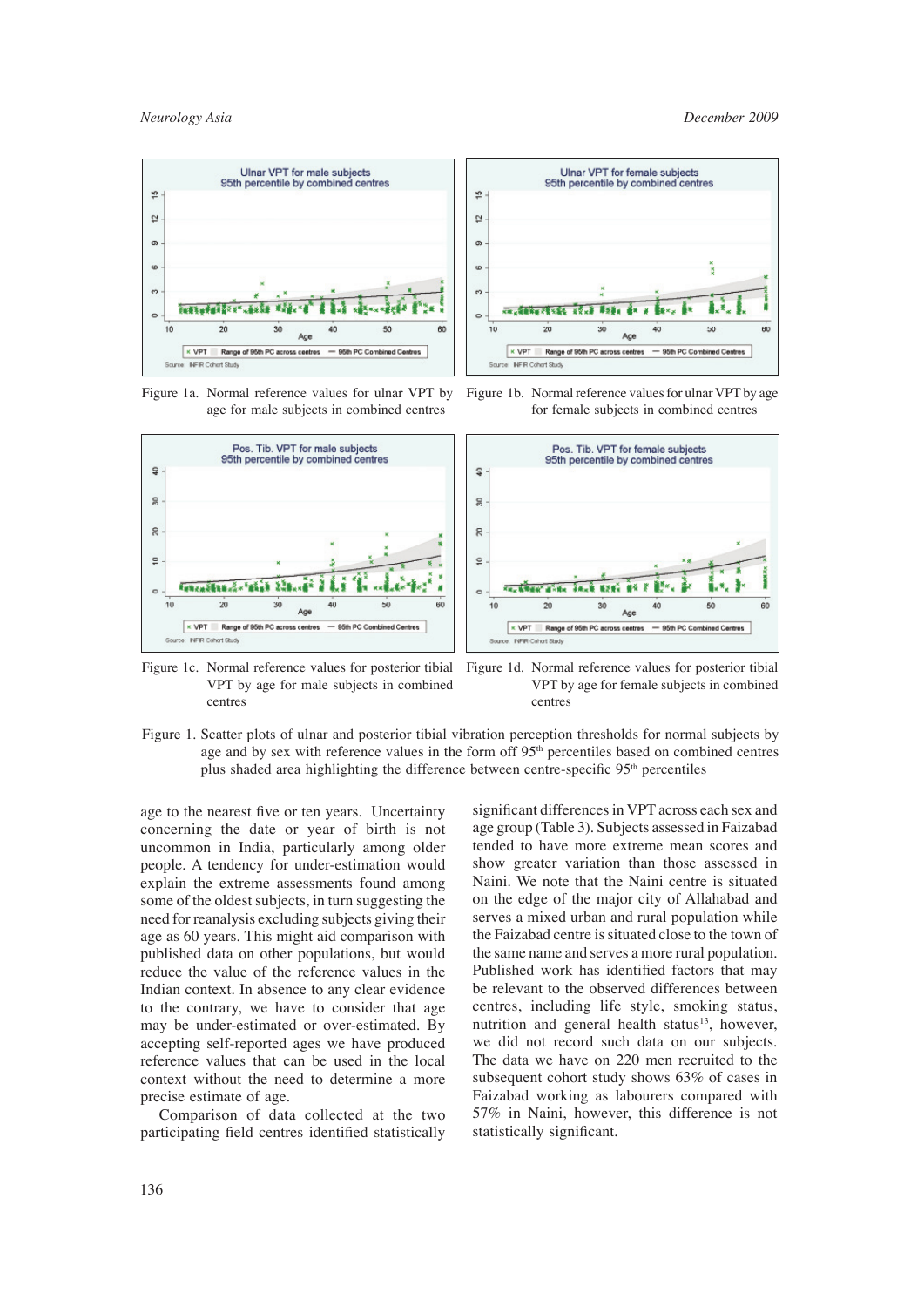$60$ 



Figure 1a. Normal reference values for ulnar VPT by age for male subjects in combined centres



Figure 1c. Normal reference values for posterior tibial VPT by age for male subjects in combined centres

Figure 1d. Normal reference values for posterior tibial VPT by age for female subjects in combined centres

Figure 1b. Normal reference values for ulnar VPT by age for female subjects in combined centres

Ag

 $40$ 

 $50$ 

- 95th PC Combined Centres

Figure 1. Scatter plots of ulnar and posterior tibial vibration perception thresholds for normal subjects by age and by sex with reference values in the form off  $95<sup>th</sup>$  percentiles based on combined centres plus shaded area highlighting the difference between centre-specific  $95<sup>th</sup>$  percentiles

age to the nearest five or ten years. Uncertainty concerning the date or year of birth is not uncommon in India, particularly among older people. A tendency for under-estimation would explain the extreme assessments found among some of the oldest subjects, in turn suggesting the need for reanalysis excluding subjects giving their age as 60 years. This might aid comparison with published data on other populations, but would reduce the value of the reference values in the Indian context. In absence to any clear evidence to the contrary, we have to consider that age may be under-estimated or over-estimated. By accepting self-reported ages we have produced reference values that can be used in the local context without the need to determine a more precise estimate of age.

 Comparison of data collected at the two participating field centres identified statistically

significant differences in VPT across each sex and age group (Table 3). Subjects assessed in Faizabad tended to have more extreme mean scores and show greater variation than those assessed in Naini. We note that the Naini centre is situated on the edge of the major city of Allahabad and serves a mixed urban and rural population while the Faizabad centre is situated close to the town of the same name and serves a more rural population. Published work has identified factors that may be relevant to the observed differences between centres, including life style, smoking status, nutrition and general health status $13$ , however, we did not record such data on our subjects. The data we have on 220 men recruited to the subsequent cohort study shows 63% of cases in Faizabad working as labourers compared with 57% in Naini, however, this difference is not statistically significant.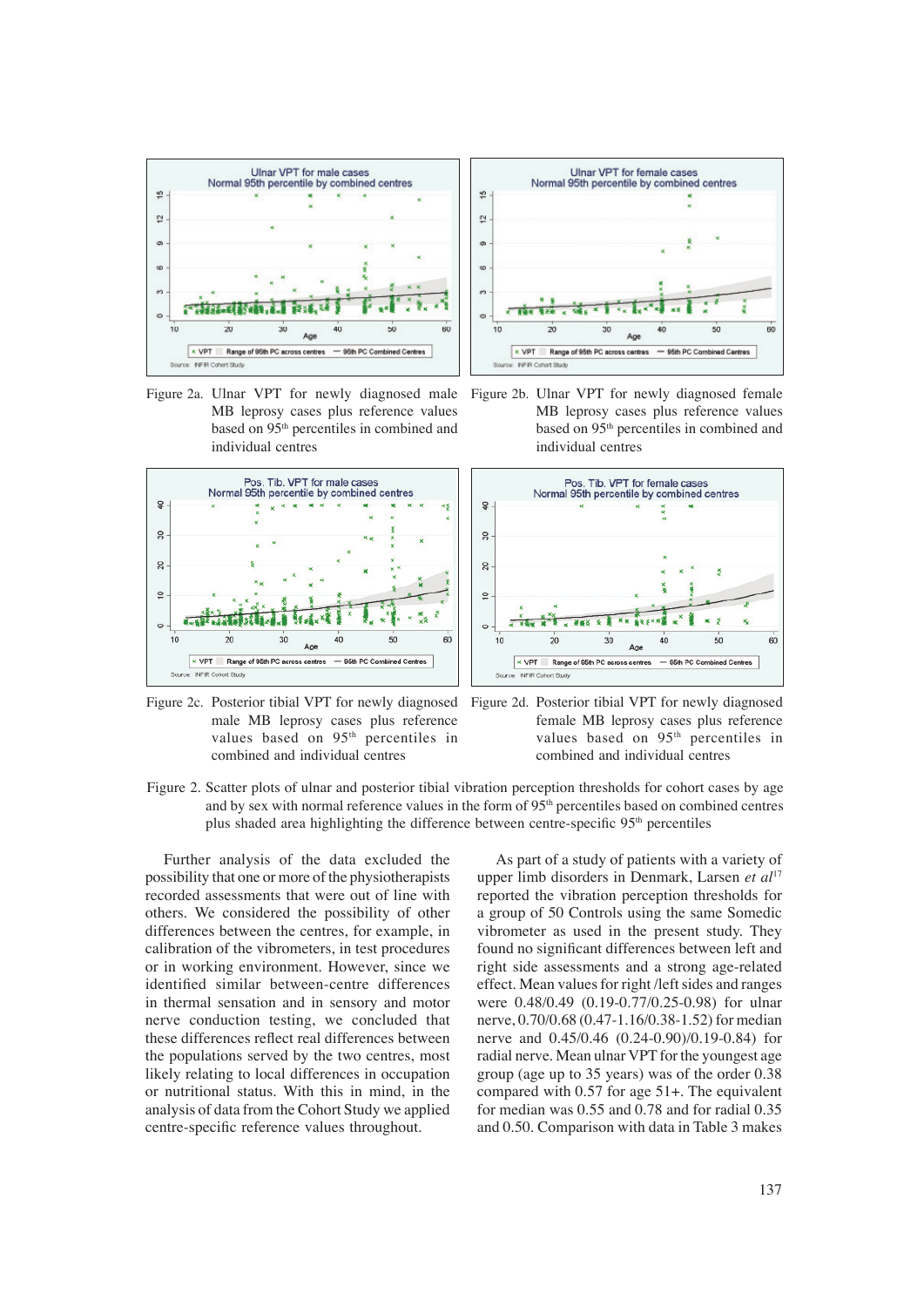

Figure 2a. Ulnar VPT for newly diagnosed male MB leprosy cases plus reference values based on 95<sup>th</sup> percentiles in combined and individual centres



Figure 2c. Posterior tibial VPT for newly diagnosed Figure 2d. Posterior tibial VPT for newly diagnosed male MB leprosy cases plus reference values based on 95<sup>th</sup> percentiles in combined and individual centres



Figure 2b. Ulnar VPT for newly diagnosed female MB leprosy cases plus reference values based on 95<sup>th</sup> percentiles in combined and individual centres



- female MB leprosy cases plus reference values based on 95th percentiles in combined and individual centres
- Figure 2. Scatter plots of ulnar and posterior tibial vibration perception thresholds for cohort cases by age and by sex with normal reference values in the form of 95<sup>th</sup> percentiles based on combined centres plus shaded area highlighting the difference between centre-specific 95<sup>th</sup> percentiles

 Further analysis of the data excluded the possibility that one or more of the physiotherapists recorded assessments that were out of line with others. We considered the possibility of other differences between the centres, for example, in calibration of the vibrometers, in test procedures or in working environment. However, since we identified similar between-centre differences in thermal sensation and in sensory and motor nerve conduction testing, we concluded that these differences reflect real differences between the populations served by the two centres, most likely relating to local differences in occupation or nutritional status. With this in mind, in the analysis of data from the Cohort Study we applied centre-specific reference values throughout.

 As part of a study of patients with a variety of upper limb disorders in Denmark, Larsen *et al*<sup>17</sup> reported the vibration perception thresholds for a group of 50 Controls using the same Somedic vibrometer as used in the present study. They found no significant differences between left and right side assessments and a strong age-related effect. Mean values for right /left sides and ranges were 0.48/0.49 (0.19-0.77/0.25-0.98) for ulnar nerve, 0.70/0.68 (0.47-1.16/0.38-1.52) for median nerve and 0.45/0.46 (0.24-0.90)/0.19-0.84) for radial nerve. Mean ulnar VPT for the youngest age group (age up to 35 years) was of the order 0.38 compared with 0.57 for age 51+. The equivalent for median was 0.55 and 0.78 and for radial 0.35 and 0.50. Comparison with data in Table 3 makes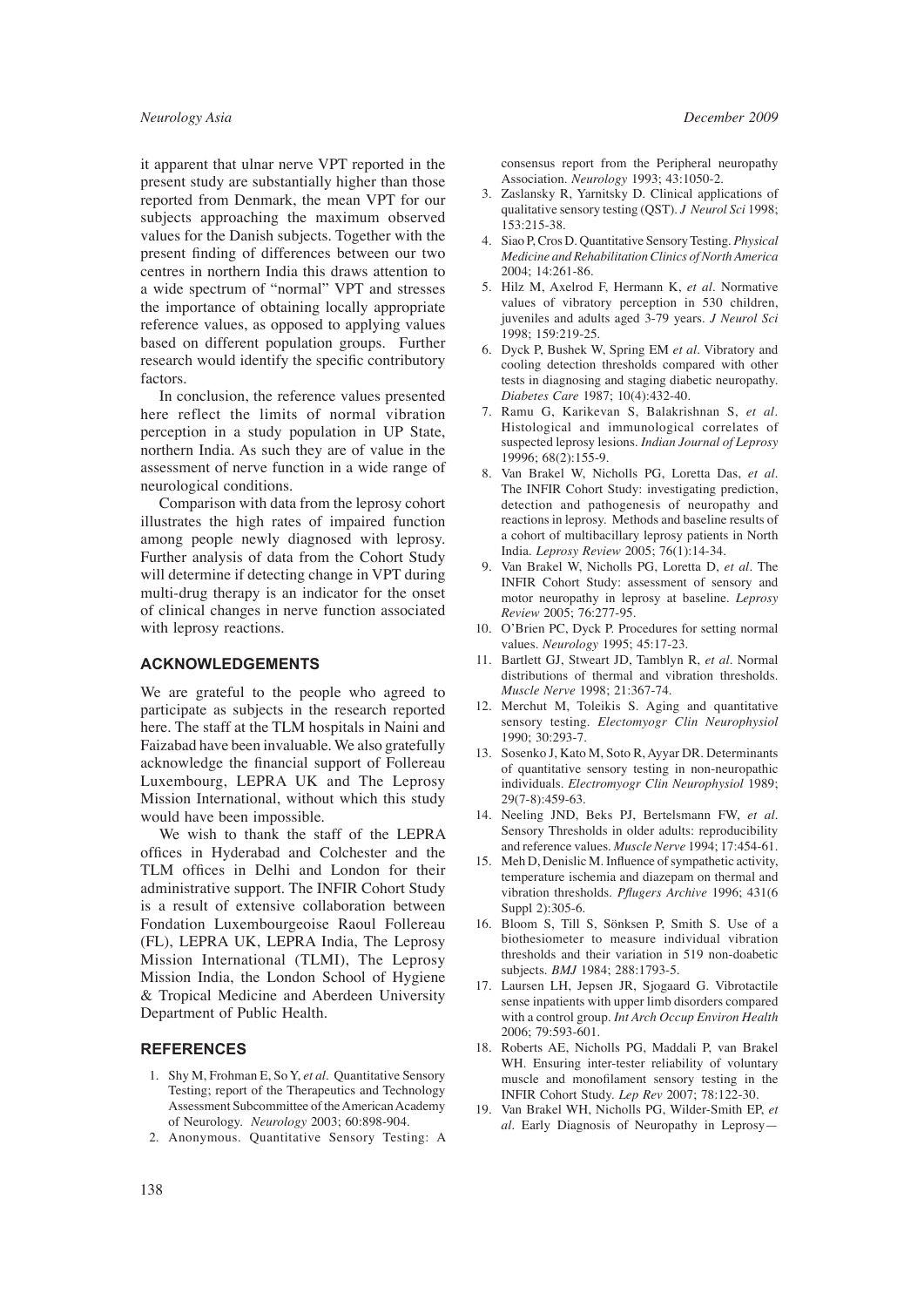it apparent that ulnar nerve VPT reported in the present study are substantially higher than those reported from Denmark, the mean VPT for our subjects approaching the maximum observed values for the Danish subjects. Together with the present finding of differences between our two centres in northern India this draws attention to a wide spectrum of "normal" VPT and stresses the importance of obtaining locally appropriate reference values, as opposed to applying values based on different population groups. Further research would identify the specific contributory factors.

 In conclusion, the reference values presented here reflect the limits of normal vibration perception in a study population in UP State, northern India. As such they are of value in the assessment of nerve function in a wide range of neurological conditions.

 Comparison with data from the leprosy cohort illustrates the high rates of impaired function among people newly diagnosed with leprosy. Further analysis of data from the Cohort Study will determine if detecting change in VPT during multi-drug therapy is an indicator for the onset of clinical changes in nerve function associated with leprosy reactions.

#### **ACKNOWLEDGEMENTS**

We are grateful to the people who agreed to participate as subjects in the research reported here. The staff at the TLM hospitals in Naini and Faizabad have been invaluable. We also gratefully acknowledge the financial support of Follereau Luxembourg, LEPRA UK and The Leprosy Mission International, without which this study would have been impossible.

 We wish to thank the staff of the LEPRA offices in Hyderabad and Colchester and the TLM offices in Delhi and London for their administrative support. The INFIR Cohort Study is a result of extensive collaboration between Fondation Luxembourgeoise Raoul Follereau (FL), LEPRA UK, LEPRA India, The Leprosy Mission International (TLMI), The Leprosy Mission India, the London School of Hygiene & Tropical Medicine and Aberdeen University Department of Public Health.

#### **REFERENCES**

- 1. Shy M, Frohman E, So Y, *et al*. Quantitative Sensory Testing; report of the Therapeutics and Technology Assessment Subcommittee of the American Academy of Neurology. *Neurology* 2003; 60:898-904.
- 2. Anonymous. Quantitative Sensory Testing: A

*Neurology Asia December 2009*

consensus report from the Peripheral neuropathy Association. *Neurology* 1993; 43:1050-2.

- 3. Zaslansky R, Yarnitsky D. Clinical applications of qualitative sensory testing (QST). *J Neurol Sci* 1998; 153:215-38.
- 4. Siao P, Cros D. Quantitative Sensory Testing. *Physical Medicine and Rehabilitation Clinics of North America* 2004; 14:261-86.
- 5. Hilz M, Axelrod F, Hermann K, *et al*. Normative values of vibratory perception in 530 children, juveniles and adults aged 3-79 years. *J Neurol Sci* 1998; 159:219-25.
- 6. Dyck P, Bushek W, Spring EM *et al*. Vibratory and cooling detection thresholds compared with other tests in diagnosing and staging diabetic neuropathy. *Diabetes Care* 1987; 10(4):432-40.
- 7. Ramu G, Karikevan S, Balakrishnan S, *et al.* Histological and immunological correlates of suspected leprosy lesions. *Indian Journal of Leprosy* 19996; 68(2):155-9.
- 8. Van Brakel W, Nicholls PG, Loretta Das, *et al*. The INFIR Cohort Study: investigating prediction, detection and pathogenesis of neuropathy and reactions in leprosy. Methods and baseline results of a cohort of multibacillary leprosy patients in North India. *Leprosy Review* 2005; 76(1):14-34.
- 9. Van Brakel W, Nicholls PG, Loretta D, *et al*. The INFIR Cohort Study: assessment of sensory and motor neuropathy in leprosy at baseline. *Leprosy Review* 2005; 76:277-95.
- 10. O'Brien PC, Dyck P. Procedures for setting normal values. *Neurology* 1995; 45:17-23.
- 11. Bartlett GJ, Stweart JD, Tamblyn R, *et al*. Normal distributions of thermal and vibration thresholds. *Muscle Nerve* 1998; 21:367-74.
- 12. Merchut M, Toleikis S. Aging and quantitative sensory testing. *Electomyogr Clin Neurophysiol*  1990; 30:293-7.
- 13. Sosenko J, Kato M, Soto R, Ayyar DR. Determinants of quantitative sensory testing in non-neuropathic individuals. *Electromyogr Clin Neurophysiol* 1989; 29(7-8):459-63.
- 14. Neeling JND, Beks PJ, Bertelsmann FW, *et al*. Sensory Thresholds in older adults: reproducibility and reference values. *Muscle Nerve* 1994; 17:454-61.
- 15. Meh D, Denislic M. Influence of sympathetic activity, temperature ischemia and diazepam on thermal and vibration thresholds. *Pflugers Archive* 1996; 431(6) Suppl 2):305-6.
- 16. Bloom S, Till S, Sönksen P, Smith S. Use of a biothesiometer to measure individual vibration thresholds and their variation in 519 non-doabetic subjects. *BMJ* 1984; 288:1793-5.
- 17. Laursen LH, Jepsen JR, Sjogaard G. Vibrotactile sense inpatients with upper limb disorders compared with a control group. *Int Arch Occup Environ Health* 2006; 79:593-601.
- 18. Roberts AE, Nicholls PG, Maddali P, van Brakel WH. Ensuring inter-tester reliability of voluntary muscle and monofilament sensory testing in the INFIR Cohort Study. *Lep Rev* 2007; 78:122-30.
- 19. Van Brakel WH, Nicholls PG, Wilder-Smith EP, *et al*. Early Diagnosis of Neuropathy in Leprosy—